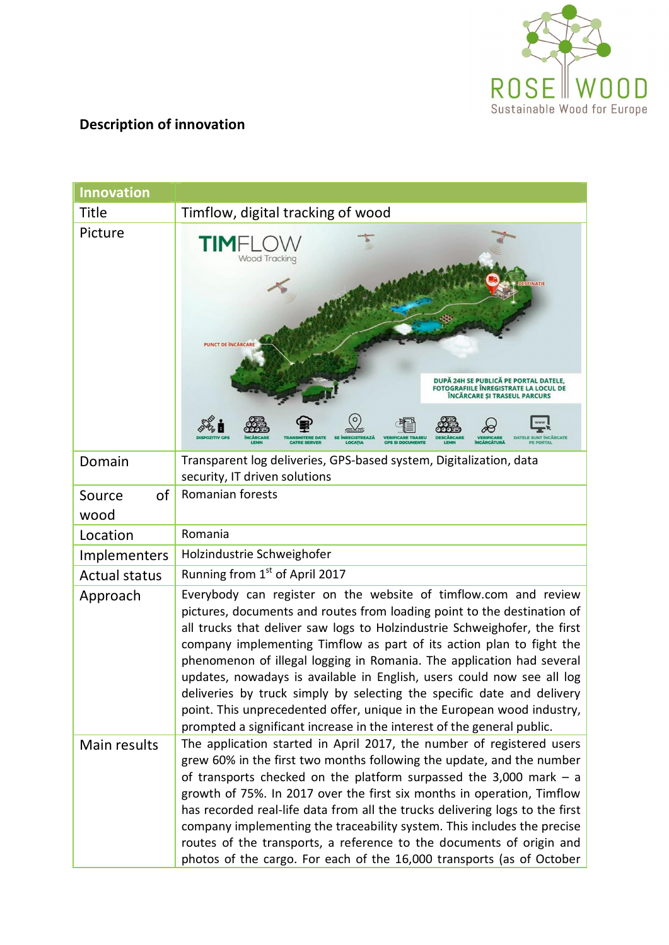

## **Description of innovation**

| <b>Innovation</b>    |                                                                                                                                                                                                                                                                                                                                                                                                                                                                                                                                                                                                                                                                                  |  |
|----------------------|----------------------------------------------------------------------------------------------------------------------------------------------------------------------------------------------------------------------------------------------------------------------------------------------------------------------------------------------------------------------------------------------------------------------------------------------------------------------------------------------------------------------------------------------------------------------------------------------------------------------------------------------------------------------------------|--|
| <b>Title</b>         | Timflow, digital tracking of wood                                                                                                                                                                                                                                                                                                                                                                                                                                                                                                                                                                                                                                                |  |
| Picture              | TIMF<br><b>Wood Tracking</b><br><b>PUNCT DE ÎNCĂRCARE</b><br>DUPĂ 24H SE PUBLICĂ PE PORTAL DATELE,<br><b>FOTOGRAFIILE INREGISTRATE LA LOCUL DE</b><br>ÎNCĂRCARE ȘI TRASEUL PARCURS<br><b>TRANSMITERE DATE</b><br>LOCATIA                                                                                                                                                                                                                                                                                                                                                                                                                                                         |  |
| Domain               | Transparent log deliveries, GPS-based system, Digitalization, data<br>security, IT driven solutions                                                                                                                                                                                                                                                                                                                                                                                                                                                                                                                                                                              |  |
| of<br>Source<br>wood | Romanian forests                                                                                                                                                                                                                                                                                                                                                                                                                                                                                                                                                                                                                                                                 |  |
| Location             | Romania                                                                                                                                                                                                                                                                                                                                                                                                                                                                                                                                                                                                                                                                          |  |
| Implementers         | Holzindustrie Schweighofer                                                                                                                                                                                                                                                                                                                                                                                                                                                                                                                                                                                                                                                       |  |
| <b>Actual status</b> | Running from 1 <sup>st</sup> of April 2017                                                                                                                                                                                                                                                                                                                                                                                                                                                                                                                                                                                                                                       |  |
| Approach             | Everybody can register on the website of timflow.com and review<br>pictures, documents and routes from loading point to the destination of<br>all trucks that deliver saw logs to Holzindustrie Schweighofer, the first<br>company implementing Timflow as part of its action plan to fight the<br>phenomenon of illegal logging in Romania. The application had several<br>updates, nowadays is available in English, users could now see all log<br>deliveries by truck simply by selecting the specific date and delivery<br>point. This unprecedented offer, unique in the European wood industry,<br>prompted a significant increase in the interest of the general public. |  |
| Main results         | The application started in April 2017, the number of registered users<br>grew 60% in the first two months following the update, and the number<br>of transports checked on the platform surpassed the 3,000 mark $-$ a<br>growth of 75%. In 2017 over the first six months in operation, Timflow<br>has recorded real-life data from all the trucks delivering logs to the first<br>company implementing the traceability system. This includes the precise<br>routes of the transports, a reference to the documents of origin and<br>photos of the cargo. For each of the 16,000 transports (as of October                                                                     |  |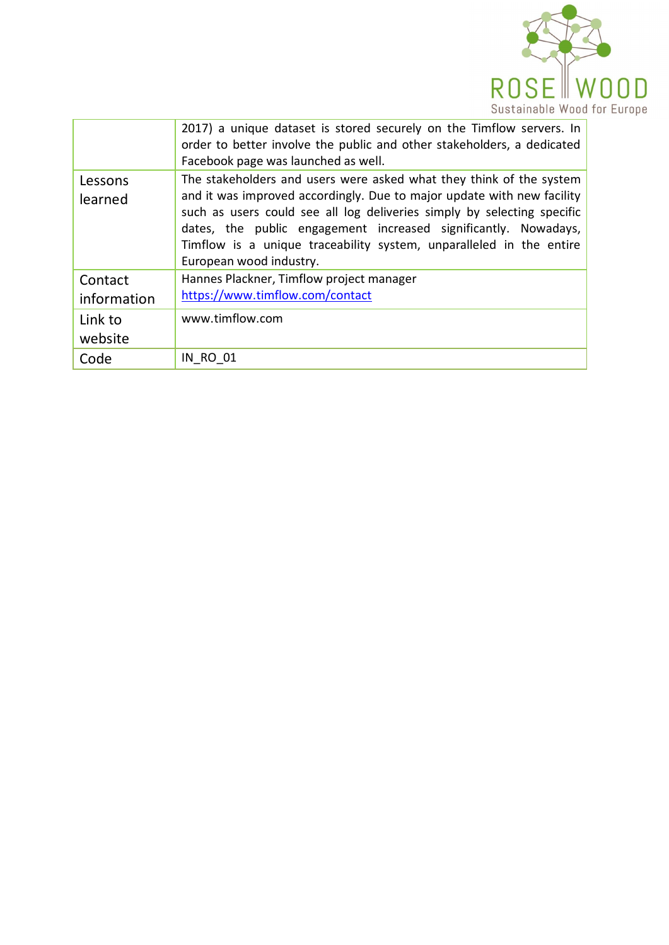

|                        | 2017) a unique dataset is stored securely on the Timflow servers. In<br>order to better involve the public and other stakeholders, a dedicated<br>Facebook page was launched as well.                                                                                                                                                                                                         |
|------------------------|-----------------------------------------------------------------------------------------------------------------------------------------------------------------------------------------------------------------------------------------------------------------------------------------------------------------------------------------------------------------------------------------------|
| Lessons<br>learned     | The stakeholders and users were asked what they think of the system<br>and it was improved accordingly. Due to major update with new facility<br>such as users could see all log deliveries simply by selecting specific<br>dates, the public engagement increased significantly. Nowadays,<br>Timflow is a unique traceability system, unparalleled in the entire<br>European wood industry. |
| Contact<br>information | Hannes Plackner, Timflow project manager<br>https://www.timflow.com/contact                                                                                                                                                                                                                                                                                                                   |
| Link to<br>website     | www.timflow.com                                                                                                                                                                                                                                                                                                                                                                               |
| Code                   | <b>IN RO 01</b>                                                                                                                                                                                                                                                                                                                                                                               |